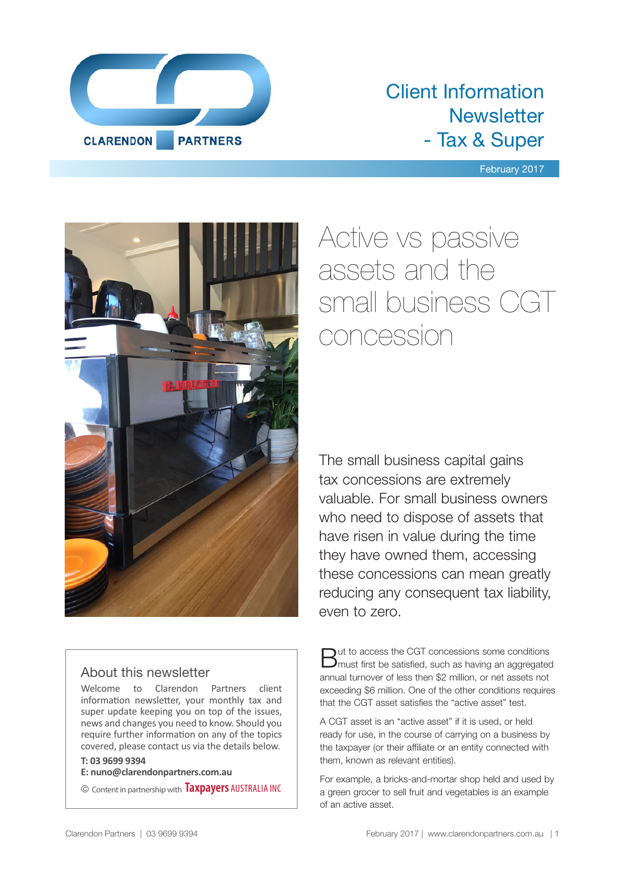

## Client Information **Newsletter** - Tax & Super

#### February 2017



### About this newsletter

Welcome to Clarendon Partners client information newsletter, your monthly tax and super update keeping you on top of the issues, news and changes you need to know. Should you require further information on any of the topics covered, please contact us via the details below.

#### **T: 03 9699 9394**

**E: nuno@clarendonpartners.com.au**

© Content in partnership with **Taxpayers** AUSTRALIA INC

# Active vs passive assets and the small business CGT concession

The small business capital gains tax concessions are extremely valuable. For small business owners who need to dispose of assets that have risen in value during the time they have owned them, accessing these concessions can mean greatly reducing any consequent tax liability, even to zero.

But to access the CGT concessions some conditions must first be satisfied, such as having an aggregated annual turnover of less then \$2 million, or net assets not exceeding \$6 million. One of the other conditions requires that the CGT asset satisfies the "active asset" test.

A CGT asset is an "active asset" if it is used, or held ready for use, in the course of carrying on a business by the taxpayer (or their affiliate or an entity connected with them, known as relevant entities).

For example, a bricks-and-mortar shop held and used by a green grocer to sell fruit and vegetables is an example of an active asset.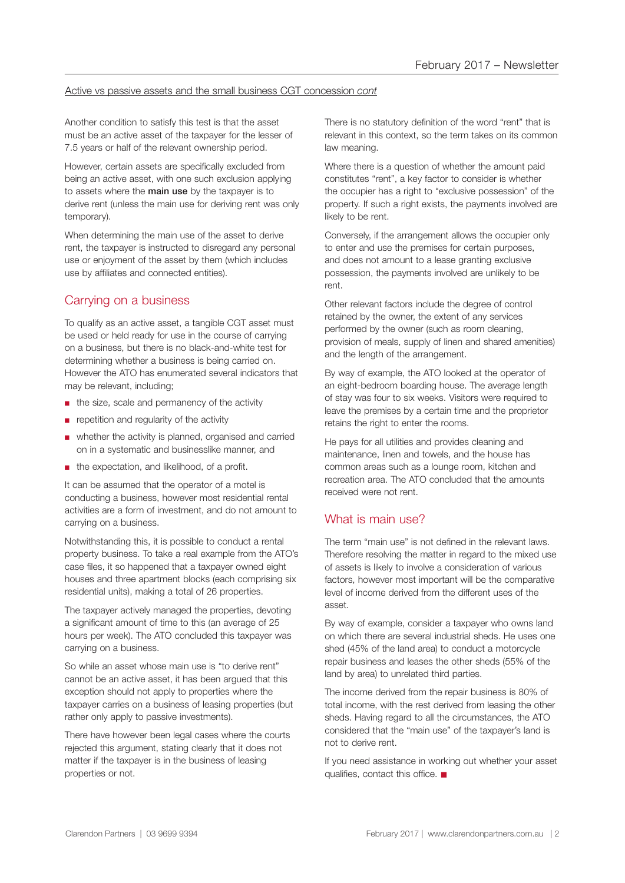#### Active vs passive assets and the small business CGT concession *cont*

Another condition to satisfy this test is that the asset must be an active asset of the taxpayer for the lesser of 7.5 years or half of the relevant ownership period.

However, certain assets are specifically excluded from being an active asset, with one such exclusion applying to assets where the **main use** by the taxpayer is to derive rent (unless the main use for deriving rent was only temporary).

When determining the main use of the asset to derive rent, the taxpayer is instructed to disregard any personal use or enjoyment of the asset by them (which includes use by affiliates and connected entities).

### Carrying on a business

To qualify as an active asset, a tangible CGT asset must be used or held ready for use in the course of carrying on a business, but there is no black-and-white test for determining whether a business is being carried on. However the ATO has enumerated several indicators that may be relevant, including;

- the size, scale and permanency of the activity
- repetition and regularity of the activity
- whether the activity is planned, organised and carried on in a systematic and businesslike manner, and
- the expectation, and likelihood, of a profit.

It can be assumed that the operator of a motel is conducting a business, however most residential rental activities are a form of investment, and do not amount to carrying on a business.

Notwithstanding this, it is possible to conduct a rental property business. To take a real example from the ATO's case files, it so happened that a taxpayer owned eight houses and three apartment blocks (each comprising six residential units), making a total of 26 properties.

The taxpayer actively managed the properties, devoting a significant amount of time to this (an average of 25 hours per week). The ATO concluded this taxpayer was carrying on a business.

So while an asset whose main use is "to derive rent" cannot be an active asset, it has been argued that this exception should not apply to properties where the taxpayer carries on a business of leasing properties (but rather only apply to passive investments).

There have however been legal cases where the courts rejected this argument, stating clearly that it does not matter if the taxpayer is in the business of leasing properties or not.

There is no statutory definition of the word "rent" that is relevant in this context, so the term takes on its common law meaning.

Where there is a question of whether the amount paid constitutes "rent", a key factor to consider is whether the occupier has a right to "exclusive possession" of the property. If such a right exists, the payments involved are likely to be rent.

Conversely, if the arrangement allows the occupier only to enter and use the premises for certain purposes, and does not amount to a lease granting exclusive possession, the payments involved are unlikely to be rent.

Other relevant factors include the degree of control retained by the owner, the extent of any services performed by the owner (such as room cleaning, provision of meals, supply of linen and shared amenities) and the length of the arrangement.

By way of example, the ATO looked at the operator of an eight-bedroom boarding house. The average length of stay was four to six weeks. Visitors were required to leave the premises by a certain time and the proprietor retains the right to enter the rooms.

He pays for all utilities and provides cleaning and maintenance, linen and towels, and the house has common areas such as a lounge room, kitchen and recreation area. The ATO concluded that the amounts received were not rent.

### What is main use?

The term "main use" is not defined in the relevant laws. Therefore resolving the matter in regard to the mixed use of assets is likely to involve a consideration of various factors, however most important will be the comparative level of income derived from the different uses of the asset.

By way of example, consider a taxpayer who owns land on which there are several industrial sheds. He uses one shed (45% of the land area) to conduct a motorcycle repair business and leases the other sheds (55% of the land by area) to unrelated third parties.

The income derived from the repair business is 80% of total income, with the rest derived from leasing the other sheds. Having regard to all the circumstances, the ATO considered that the "main use" of the taxpayer's land is not to derive rent.

If you need assistance in working out whether your asset qualifies, contact this office.  $\blacksquare$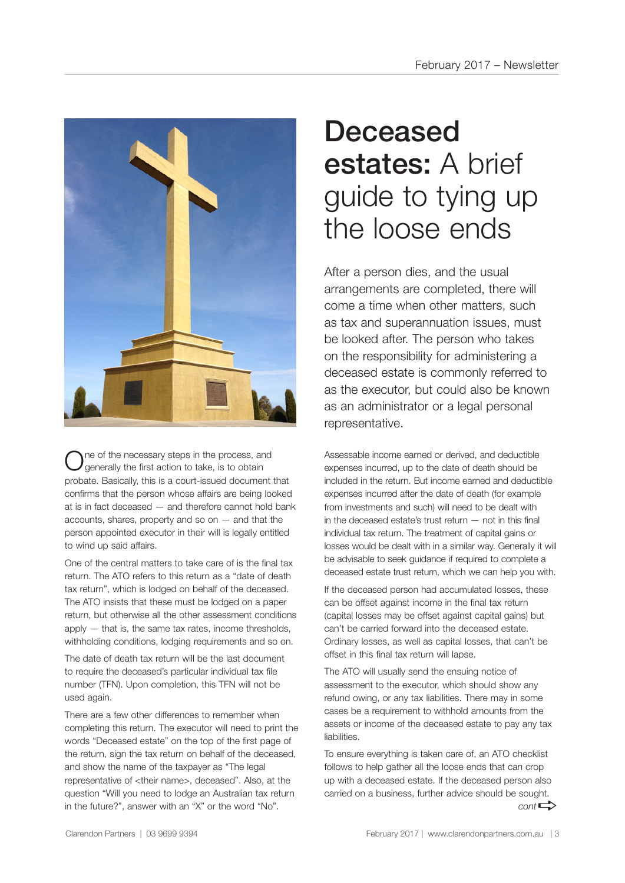

ne of the necessary steps in the process, and generally the first action to take, is to obtain probate. Basically, this is a court-issued document that confirms that the person whose affairs are being looked at is in fact deceased — and therefore cannot hold bank accounts, shares, property and so on  $-$  and that the person appointed executor in their will is legally entitled to wind up said affairs.

One of the central matters to take care of is the final tax return. The ATO refers to this return as a "date of death tax return", which is lodged on behalf of the deceased. The ATO insists that these must be lodged on a paper return, but otherwise all the other assessment conditions apply — that is, the same tax rates, income thresholds, withholding conditions, lodging requirements and so on.

The date of death tax return will be the last document to require the deceased's particular individual tax file number (TFN). Upon completion, this TFN will not be used again.

There are a few other differences to remember when completing this return. The executor will need to print the words "Deceased estate" on the top of the first page of the return, sign the tax return on behalf of the deceased, and show the name of the taxpayer as "The legal representative of <their name>, deceased". Also, at the question "Will you need to lodge an Australian tax return in the future?", answer with an "X" or the word "No".

# Deceased estates: A brief guide to tying up the loose ends

After a person dies, and the usual arrangements are completed, there will come a time when other matters, such as tax and superannuation issues, must be looked after. The person who takes on the responsibility for administering a deceased estate is commonly referred to as the executor, but could also be known as an administrator or a legal personal representative.

Assessable income earned or derived, and deductible expenses incurred, up to the date of death should be included in the return. But income earned and deductible expenses incurred after the date of death (for example from investments and such) will need to be dealt with in the deceased estate's trust return — not in this final individual tax return. The treatment of capital gains or losses would be dealt with in a similar way. Generally it will be advisable to seek guidance if required to complete a deceased estate trust return, which we can help you with.

If the deceased person had accumulated losses, these can be offset against income in the final tax return (capital losses may be offset against capital gains) but can't be carried forward into the deceased estate. Ordinary losses, as well as capital losses, that can't be offset in this final tax return will lapse.

The ATO will usually send the ensuing notice of assessment to the executor, which should show any refund owing, or any tax liabilities. There may in some cases be a requirement to withhold amounts from the assets or income of the deceased estate to pay any tax liabilities.

To ensure everything is taken care of, an ATO checklist follows to help gather all the loose ends that can crop up with a deceased estate. If the deceased person also carried on a business, further advice should be sought.  $cont \rightarrow$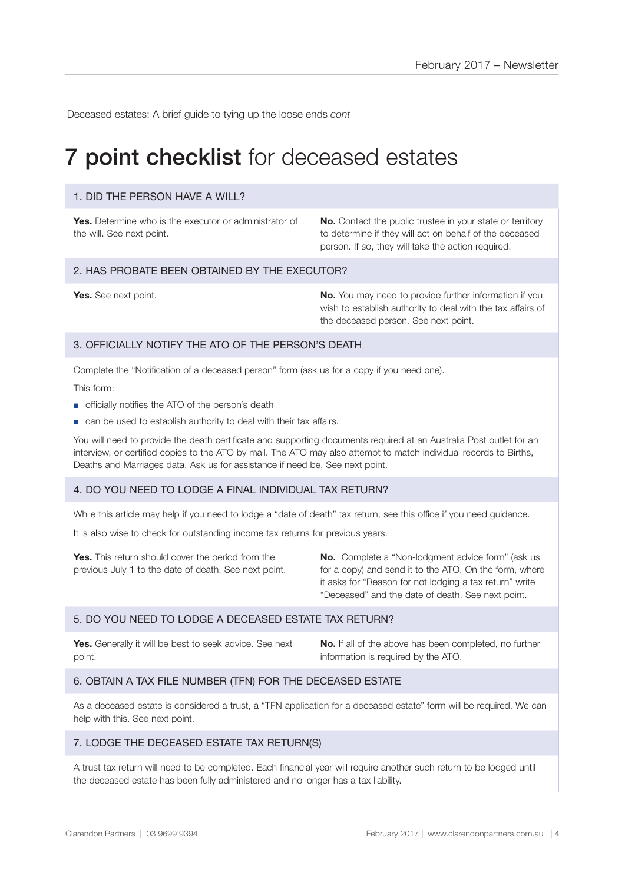Deceased estates: A brief guide to tying up the loose ends *cont*

## **7 point checklist** for deceased estates

#### 1. DID THE PERSON HAVE A WILL?

**Yes.** Determine who is the executor or administrator of the will. See next point.

**No.** Contact the public trustee in your state or territory to determine if they will act on behalf of the deceased person. If so, they will take the action required.

#### 2. HAS PROBATE BEEN OBTAINED BY THE EXECUTOR?

**Yes.** See next point. **No. No.** You may need to provide further information if you wish to establish authority to deal with the tax affairs of the deceased person. See next point.

#### 3. OFFICIALLY NOTIFY THE ATO OF THE PERSON'S DEATH

Complete the "Notification of a deceased person" form (ask us for a copy if you need one).

This form:

- officially notifies the ATO of the person's death
- can be used to establish authority to deal with their tax affairs.

You will need to provide the death certificate and supporting documents required at an Australia Post outlet for an interview, or certified copies to the ATO by mail. The ATO may also attempt to match individual records to Births, Deaths and Marriages data. Ask us for assistance if need be. See next point.

#### 4. DO YOU NEED TO LODGE A FINAL INDIVIDUAL TAX RETURN?

While this article may help if you need to lodge a "date of death" tax return, see this office if you need guidance.

It is also wise to check for outstanding income tax returns for previous years.

| <b>No.</b> Complete a "Non-lodgment advice form" (ask us<br><b>Yes.</b> This return should cover the period from the<br>for a copy) and send it to the ATO. On the form, where<br>previous July 1 to the date of death. See next point.<br>it asks for "Reason for not lodging a tax return" write<br>"Deceased" and the date of death. See next point. |
|---------------------------------------------------------------------------------------------------------------------------------------------------------------------------------------------------------------------------------------------------------------------------------------------------------------------------------------------------------|
|---------------------------------------------------------------------------------------------------------------------------------------------------------------------------------------------------------------------------------------------------------------------------------------------------------------------------------------------------------|

#### 5. DO YOU NEED TO LODGE A DECEASED ESTATE TAX RETURN?

| Yes. Generally it will be best to seek advice. See next | <b>No.</b> If all of the above has been completed, no further |
|---------------------------------------------------------|---------------------------------------------------------------|
| point.                                                  | information is required by the ATO.                           |

#### 6. OBTAIN A TAX FILE NUMBER (TFN) FOR THE DECEASED ESTATE

As a deceased estate is considered a trust, a "TFN application for a deceased estate" form will be required. We can help with this. See next point.

#### 7. LODGE THE DECEASED ESTATE TAX RETURN(S)

A trust tax return will need to be completed. Each financial year will require another such return to be lodged until the deceased estate has been fully administered and no longer has a tax liability.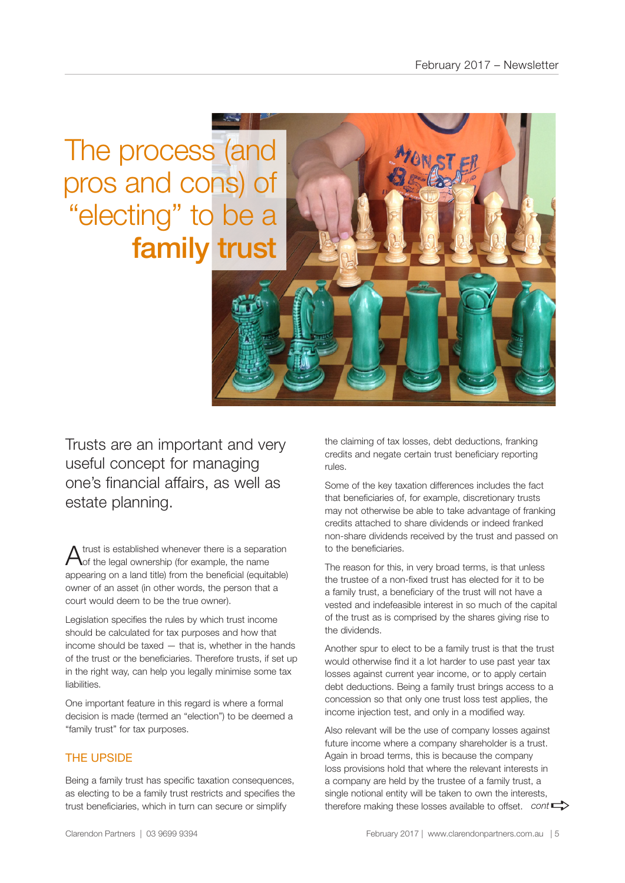The process (and pros and cons) of "electing" to be a family trust

Trusts are an important and very useful concept for managing one's financial affairs, as well as estate planning.

A trust is established whenever there is a separation of the legal ownership (for example, the name appearing on a land title) from the beneficial (equitable) owner of an asset (in other words, the person that a court would deem to be the true owner).

Legislation specifies the rules by which trust income should be calculated for tax purposes and how that income should be taxed — that is, whether in the hands of the trust or the beneficiaries. Therefore trusts, if set up in the right way, can help you legally minimise some tax liabilities.

One important feature in this regard is where a formal decision is made (termed an "election") to be deemed a "family trust" for tax purposes.

### THE UPSIDE

Being a family trust has specific taxation consequences, as electing to be a family trust restricts and specifies the trust beneficiaries, which in turn can secure or simplify

the claiming of tax losses, debt deductions, franking credits and negate certain trust beneficiary reporting rules.

Some of the key taxation differences includes the fact that beneficiaries of, for example, discretionary trusts may not otherwise be able to take advantage of franking credits attached to share dividends or indeed franked non-share dividends received by the trust and passed on to the beneficiaries.

The reason for this, in very broad terms, is that unless the trustee of a non-fixed trust has elected for it to be a family trust, a beneficiary of the trust will not have a vested and indefeasible interest in so much of the capital of the trust as is comprised by the shares giving rise to the dividends.

Another spur to elect to be a family trust is that the trust would otherwise find it a lot harder to use past year tax losses against current year income, or to apply certain debt deductions. Being a family trust brings access to a concession so that only one trust loss test applies, the income injection test, and only in a modified way.

Also relevant will be the use of company losses against future income where a company shareholder is a trust. Again in broad terms, this is because the company loss provisions hold that where the relevant interests in a company are held by the trustee of a family trust, a single notional entity will be taken to own the interests, single notional entity will be taken to own the interests,<br>therefore making these losses available to offset. *cont*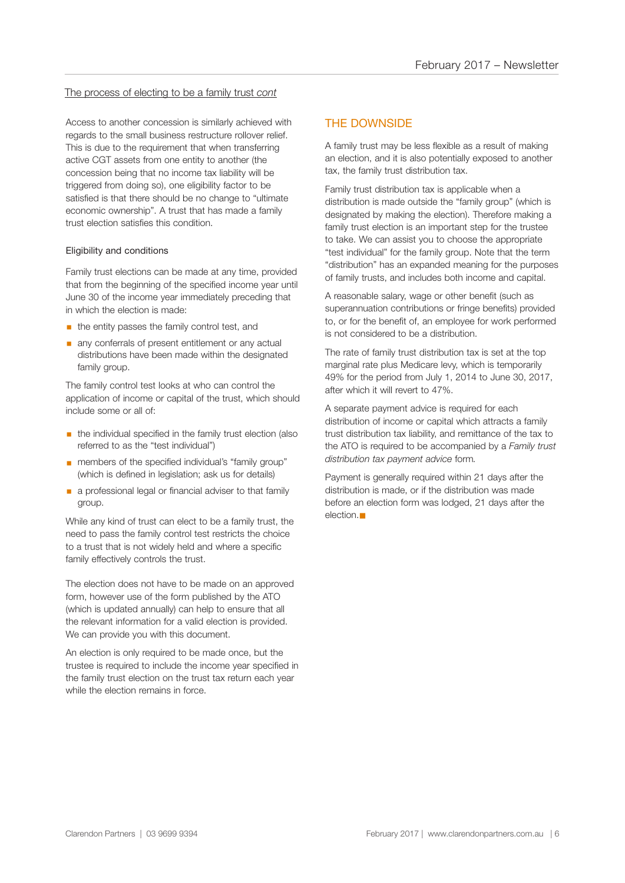#### The process of electing to be a family trust *cont*

Access to another concession is similarly achieved with regards to the small business restructure rollover relief. This is due to the requirement that when transferring active CGT assets from one entity to another (the concession being that no income tax liability will be triggered from doing so), one eligibility factor to be satisfied is that there should be no change to "ultimate economic ownership". A trust that has made a family trust election satisfies this condition.

#### Eligibility and conditions

Family trust elections can be made at any time, provided that from the beginning of the specified income year until June 30 of the income year immediately preceding that in which the election is made:

- $\blacksquare$  the entity passes the family control test, and
- **any conferrals of present entitlement or any actual** distributions have been made within the designated family group.

The family control test looks at who can control the application of income or capital of the trust, which should include some or all of:

- **•** the individual specified in the family trust election (also referred to as the "test individual")
- members of the specified individual's "family group" (which is defined in legislation; ask us for details)
- **a** a professional legal or financial adviser to that family group.

While any kind of trust can elect to be a family trust, the need to pass the family control test restricts the choice to a trust that is not widely held and where a specific family effectively controls the trust.

The election does not have to be made on an approved form, however use of the form published by the ATO (which is updated annually) can help to ensure that all the relevant information for a valid election is provided. We can provide you with this document.

An election is only required to be made once, but the trustee is required to include the income year specified in the family trust election on the trust tax return each year while the election remains in force.

#### THE DOWNSIDE

A family trust may be less flexible as a result of making an election, and it is also potentially exposed to another tax, the family trust distribution tax.

Family trust distribution tax is applicable when a distribution is made outside the "family group" (which is designated by making the election). Therefore making a family trust election is an important step for the trustee to take. We can assist you to choose the appropriate "test individual" for the family group. Note that the term "distribution" has an expanded meaning for the purposes of family trusts, and includes both income and capital.

A reasonable salary, wage or other benefit (such as superannuation contributions or fringe benefits) provided to, or for the benefit of, an employee for work performed is not considered to be a distribution.

The rate of family trust distribution tax is set at the top marginal rate plus Medicare levy, which is temporarily 49% for the period from July 1, 2014 to June 30, 2017, after which it will revert to 47%.

A separate payment advice is required for each distribution of income or capital which attracts a family trust distribution tax liability, and remittance of the tax to the ATO is required to be accompanied by a *Family trust distribution tax payment advice* form*.*

Payment is generally required within 21 days after the distribution is made, or if the distribution was made before an election form was lodged, 21 days after the  $e$ lection. $\blacksquare$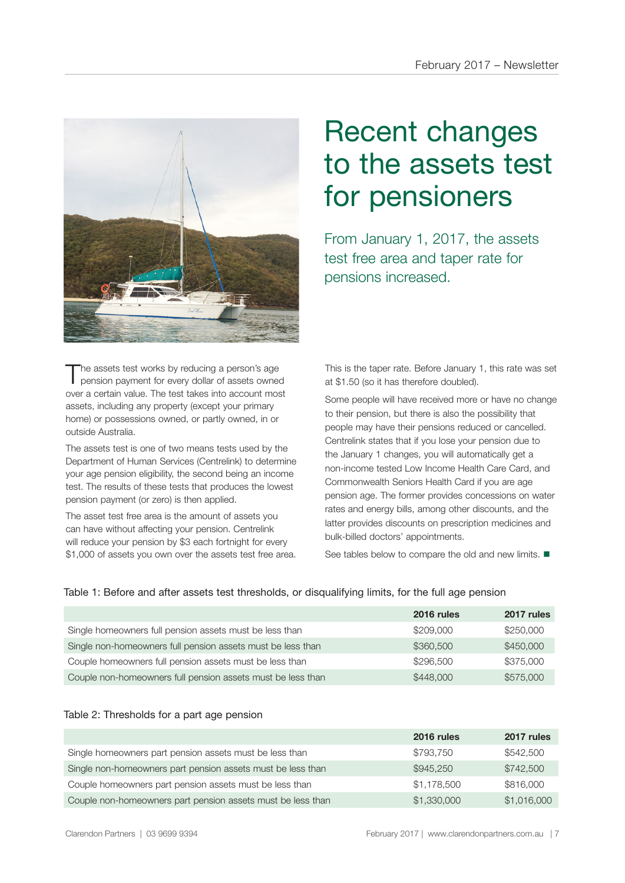

The assets test works by reducing a person's age<br>pension payment for every dollar of assets owned over a certain value. The test takes into account most assets, including any property (except your primary home) or possessions owned, or partly owned, in or outside Australia.

The assets test is one of two means tests used by the Department of Human Services (Centrelink) to determine your age pension eligibility, the second being an income test. The results of these tests that produces the lowest pension payment (or zero) is then applied.

The asset test free area is the amount of assets you can have without affecting your pension. Centrelink will reduce your pension by \$3 each fortnight for every \$1,000 of assets you own over the assets test free area.

# Recent changes to the assets test for pensioners

From January 1, 2017, the assets test free area and taper rate for pensions increased.

This is the taper rate. Before January 1, this rate was set at \$1.50 (so it has therefore doubled).

Some people will have received more or have no change to their pension, but there is also the possibility that people may have their pensions reduced or cancelled. Centrelink states that if you lose your pension due to the January 1 changes, you will automatically get a non-income tested Low Income Health Care Card, and Commonwealth Seniors Health Card if you are age pension age. The former provides concessions on water rates and energy bills, among other discounts, and the latter provides discounts on prescription medicines and bulk-billed doctors' appointments.

See tables below to compare the old and new limits.  $\blacksquare$ 

|  |  |  |  | Table 1: Before and after assets test thresholds, or disqualifying limits, for the full age pension |
|--|--|--|--|-----------------------------------------------------------------------------------------------------|
|  |  |  |  |                                                                                                     |

|                                                             | 2016 rules | 2017 rules |
|-------------------------------------------------------------|------------|------------|
| Single homeowners full pension assets must be less than     | \$209,000  | \$250,000  |
| Single non-homeowners full pension assets must be less than | \$360,500  | \$450,000  |
| Couple homeowners full pension assets must be less than     | \$296,500  | \$375,000  |
| Couple non-homeowners full pension assets must be less than | \$448,000  | \$575,000  |

#### Table 2: Thresholds for a part age pension

|                                                             | 2016 rules  | 2017 rules  |
|-------------------------------------------------------------|-------------|-------------|
| Single homeowners part pension assets must be less than     | \$793.750   | \$542,500   |
| Single non-homeowners part pension assets must be less than | \$945,250   | \$742,500   |
| Couple homeowners part pension assets must be less than     | \$1,178,500 | \$816,000   |
| Couple non-homeowners part pension assets must be less than | \$1,330,000 | \$1,016,000 |